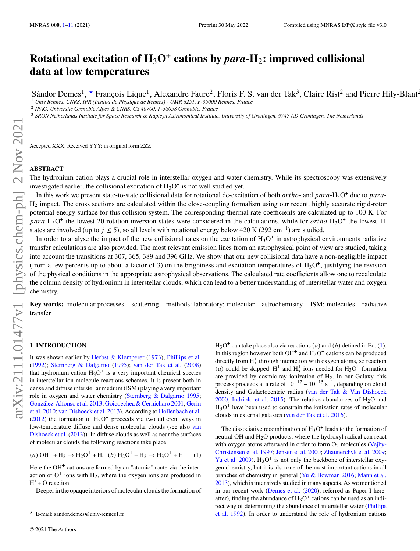# **Rotational excitation of H**3**O**<sup>+</sup> **cations by** *para-***H**2**: improved collisional data at low temperatures**

Sándor Demes<sup>1</sup>, \* François Lique<sup>1</sup>, Alexandre Faure<sup>2</sup>, Floris F. S. van der Tak<sup>3</sup>, Claire Rist<sup>2</sup> and Pierre Hily-Blant<sup>2</sup>

<sup>1</sup> *Univ Rennes, CNRS, IPR (Institut de Physique de Rennes) - UMR 6251, F-35000 Rennes, France*

2 *IPAG, Université Grenoble Alpes & CNRS, CS 40700, F-38058 Grenoble, France*

<sup>3</sup> *SRON Netherlands Institute for Space Research & Kapteyn Astronomical Institute, University of Groningen, 9747 AD Groningen, The Netherlands*

Accepted XXX. Received YYY; in original form ZZZ

# **ABSTRACT**

The hydronium cation plays a crucial role in interstellar oxygen and water chemistry. While its spectroscopy was extensively investigated earlier, the collisional excitation of  $H_3O^+$  is not well studied yet.

In this work we present state-to-state collisional data for rotational de-excitation of both  $ortho$ - and  $para$ -H<sub>3</sub>O<sup>+</sup> due to  $para$ -H<sup>2</sup> impact. The cross sections are calculated within the close-coupling formalism using our recent, highly accurate rigid-rotor potential energy surface for this collision system. The corresponding thermal rate coefficients are calculated up to 100 K. For  $para-H_3O^+$  the lowest 20 rotation-inversion states were considered in the calculations, while for  $ortho-H_3O^+$  the lowest 11 states are involved (up to  $j \le 5$ ), so all levels with rotational energy below 420 K (292 cm<sup>-1</sup>) are studied.

In order to analyse the impact of the new collisional rates on the excitation of  $H_3O^+$  in astrophysical environments radiative transfer calculations are also provided. The most relevant emission lines from an astrophysical point of view are studied, taking into account the transitions at 307, 365, 389 and 396 GHz. We show that our new collisional data have a non-negligible impact (from a few percents up to about a factor of 3) on the brightness and excitation temperatures of  $H_3O^+$ , justifying the revision of the physical conditions in the appropriate astrophysical observations. The calculated rate coefficients allow one to recalculate the column density of hydronium in interstellar clouds, which can lead to a better understanding of interstellar water and oxygen chemistry.

**Key words:** molecular processes – scattering – methods: laboratory: molecular – astrochemistry – ISM: molecules – radiative transfer

# <span id="page-0-0"></span>**1 INTRODUCTION**

It was shown earlier by [Herbst & Klemperer](#page-9-1) [\(1973\)](#page-9-1); [Phillips et al.](#page-9-2) [\(1992\)](#page-9-2); [Sternberg & Dalgarno](#page-10-0) [\(1995\)](#page-10-0); [van der Tak et al.](#page-10-1) [\(2008\)](#page-10-1) that hydronium cation  $H_3O^+$  is a very important chemical species in interstellar ion-molecule reactions schemes. It is present both in dense and diffuse interstellar medium (ISM) playing a very important role in oxygen and water chemistry [\(Sternberg & Dalgarno](#page-10-0) [1995;](#page-10-0) [González-Alfonso et al.](#page-9-3) [2013;](#page-9-3) [Goicoechea & Cernicharo](#page-9-4) [2001;](#page-9-4) [Gerin](#page-9-5) [et al.](#page-9-5) [2010;](#page-9-5) [van Dishoeck et al.](#page-10-2) [2013\)](#page-10-2). According to [Hollenbach et al.](#page-9-6)  $(2012)$  the formation of  $H_3O^+$  proceeds via two different ways in low-temperature diffuse and dense molecular clouds (see also [van](#page-10-2) [Dishoeck et al.](#page-10-2) [\(2013\)](#page-10-2)). In diffuse clouds as well as near the surfaces of molecular clouds the following reactions take place:

$$
(a) \text{ OH}^+ + \text{H}_2 \rightarrow \text{H}_2\text{O}^+ + \text{H}, \ (b) \text{H}_2\text{O}^+ + \text{H}_2 \rightarrow \text{H}_3\text{O}^+ + \text{H}. \tag{1}
$$

Here the OH<sup>+</sup> cations are formed by an "atomic" route via the interaction of  $O<sup>+</sup>$  ions with  $H<sub>2</sub>$ , where the oxygen ions are produced in H<sup>+</sup>+ O reaction.

Deeper in the opaque interiors of molecular clouds the formation of

 $H_3O^+$  can take place also via reactions (*a*) and (*b*) defined in Eq. [\(1\)](#page-0-1). In this region however both OH<sup>+</sup> and  $H_2O^+$  cations can be produced directly from  $H_3^+$  through interaction with oxygen atoms, so reaction (*a*) could be skipped. H<sup>+</sup> and H<sub>3</sub><sup>+</sup> ions needed for H<sub>3</sub>O<sup>+</sup> formation are provided by cosmic-ray ionization of  $H<sub>2</sub>$ . In our Galaxy, this process proceeds at a rate of  $10^{-17} - 10^{-15}$  s<sup>-1</sup>, depending on cloud density and Galactocentric radius [\(van der Tak & Van Dishoeck](#page-10-3) [2000;](#page-10-3) [Indriolo et al.](#page-9-7) [2015\)](#page-9-7). The relative abundances of  $H_2O$  and H<sub>3</sub>O<sup>+</sup> have been used to constrain the ionization rates of molecular clouds in external galaxies [\(van der Tak et al.](#page-10-4) [2016\)](#page-10-4).

<span id="page-0-1"></span>The dissociative recombination of  $H_3O^+$  leads to the formation of neutral OH and H2O products, where the hydroxyl radical can react with oxygen atoms afterward in order to form  $O_2$  molecules [\(Vejby-](#page-10-5)[Christensen et al.](#page-10-5) [1997;](#page-10-5) [Jensen et al.](#page-9-8) [2000;](#page-9-8) [Zhaunerchyk et al.](#page-10-6) [2009;](#page-10-6) [Yu et al.](#page-10-7) [2009\)](#page-10-7).  $H_3O^+$  is not only the backbone of interstellar oxygen chemistry, but it is also one of the most important cations in all branches of chemistry in general [\(Yu & Bowman](#page-10-8) [2016;](#page-10-8) [Mann et al.](#page-9-9) [2013\)](#page-9-9), which is intensively studied in many aspects. As we mentioned in our recent work [\(Demes et al.](#page-9-10) [\(2020\)](#page-9-10), referred as Paper I hereafter), finding the abundance of  $H_3O^+$  cations can be used as an indirect way of determining the abundance of interstellar water [\(Phillips](#page-9-2) [et al.](#page-9-2) [1992\)](#page-9-2). In order to understand the role of hydronium cations

<sup>★</sup> E-mail: sandor.demes@univ-rennes1.fr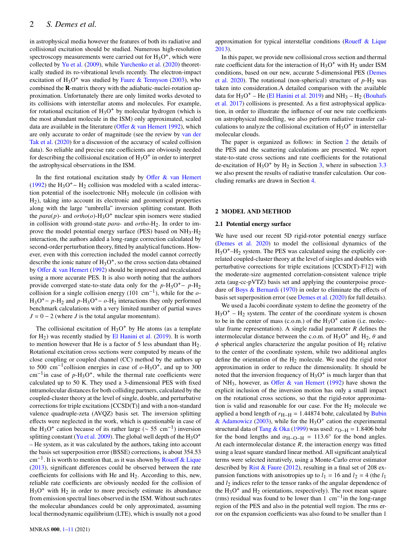in astrophysical media however the features of both its radiative and collisional excitation should be studied. Numerous high-resolution spectroscopy measurements were carried out for  $H_3O^+$ , which were collected by [Yu et al.](#page-10-7) [\(2009\)](#page-10-7), while [Yurchenko et al.](#page-10-9) [\(2020\)](#page-10-9) theoretically studied its ro-vibrational levels recently. The electron-impact excitation of  $H_3O^+$  was studied by [Faure & Tennyson](#page-9-11) [\(2003\)](#page-9-11), who combined the **R**-matrix theory with the adiabatic-nuclei-rotation approximation. Unfortunately there are only limited works devoted to its collisions with interstellar atoms and molecules. For example, for rotational excitation of  $H_3O^+$  by molecular hydrogen (which is the most abundant molecule in the ISM) only approximated, scaled data are available in the literature [\(Offer & van Hemert](#page-9-12) [1992\)](#page-9-12), which are only accurate to order of magnitude (see the review by [van der](#page-10-10) [Tak et al.](#page-10-10) [\(2020\)](#page-10-10) for a discussion of the accuracy of scaled collision data). So reliable and precise rate coefficients are obviously needed for describing the collisional excitation of  $H_3O^+$  in order to interpret the astrophysical observations in the ISM.

In the first rotational excitation study by Offer  $\&$  van Hemert [\(1992\)](#page-9-12) the  $H_3O^+$  –  $H_2$  collision was modeled with a scaled interaction potential of the isoelectronic  $NH<sub>3</sub>$  molecule (in collision with H2), taking into account its electronic and geometrical properties along with the large "umbrella" inversion splitting constant. Both the *para*(*p*)- and *ortho*(*o*)- $H_3O^+$  nuclear spin isomers were studied in collision with ground-state *para*- and *ortho*-H<sub>2</sub>. In order to improve the model potential energy surface (PES) based on  $NH_3-H_2$ interaction, the authors added a long-range correction calculated by second-order perturbation theory, fitted by analytical functions. However, even with this correction included the model cannot correctly describe the ionic nature of  $H_3O^+$ , so the cross section data obtained by [Offer & van Hemert](#page-9-12) [\(1992\)](#page-9-12) should be improved and recalculated using a more accurate PES. It is also worth noting that the authors provide converged state-to-state data only for the  $p-H_3O^+ - p-H_2$ collision for a single collision energy (101 cm<sup>-1</sup>), while for the  $o$ - $H_3O^+$  – p-H<sub>2</sub> and p-H<sub>3</sub>O<sup>+</sup> – o-H<sub>2</sub> interactions they only performed benchmark calculations with a very limited number of partial waves  $J = 0 - 2$  (where J is the total angular momentum).

The collisional excitation of  $H_3O^+$  by He atoms (as a template for  $H_2$ ) was recently studied by [El Hanini et al.](#page-9-13) [\(2019\)](#page-9-13). It is worth to mention however that He is a factor of 5 less abundant than  $H_2$ . Rotational excitation cross sections were computed by means of the close coupling or coupled channel (CC) method by the authors up to 500  $\text{cm}^{-1}$  collision energies in case of  $o$ -H<sub>3</sub>O<sup>+</sup>, and up to 300 cm<sup>-1</sup>in case of *p*-H<sub>3</sub>O<sup>+</sup>, while the thermal rate coefficients were calculated up to 50 K. They used a 3-dimensional PES with fixed intramolecular distances for both colliding partners, calculated by the coupled-cluster theory at the level of single, double, and perturbative corrections for triple excitations [CCSD(T)] and with a non-standard valence quadruple-zeta (AVQZ) basis set. The inversion splitting effects were neglected in the work, which is questionable in case of the H<sub>3</sub>O<sup>+</sup> cation because of its rather large ( $\sim$  55 cm<sup>-1</sup>) inversion splitting constant [\(Yu et al.](#page-10-7) [2009\)](#page-10-7). The global well depth of the  $H_3O^+$ – He system, as it was calculated by the authors, taking into account the basis set superposition error (BSSE) corrections, is about 354.53 cm−<sup>1</sup> . It is worth to mention that, as it was shown by [Roueff & Lique](#page-10-11) [\(2013\)](#page-10-11), significant differences could be observed between the rate coefficients for collisions with He and  $H<sub>2</sub>$ . According to this, new, reliable rate coefficients are obviously needed for the collision of  $H_3O^+$  with  $H_2$  in order to more precisely estimate its abundance from emission spectral lines observed in the ISM. Without such rates the molecular abundances could be only approximated, assuming local thermodynamic equilibrium (LTE), which is usually not a good approximation for typical interstellar conditions [\(Roueff & Lique](#page-10-11) [2013\)](#page-10-11).

In this paper, we provide new collisional cross section and thermal rate coefficient data for the interaction of  $H_3O^+$  with  $H_2$  under ISM conditions, based on our new, accurate 5-dimensional PES [\(Demes](#page-9-10) [et al.](#page-9-10) [2020\)](#page-9-10). The rotational (non-spherical) structure of  $p-H_2$  was taken into consideration.A detailed comparison with the available data for  $H_3O^+$  – He [\(El Hanini et al.](#page-9-13) [2019\)](#page-9-13) and NH<sub>3</sub> – H<sub>2</sub> [\(Bouhafs](#page-9-14) [et al.](#page-9-14) [2017\)](#page-9-14) collisions is presented. As a first astrophysical application, in order to illustrate the influence of our new rate coefficients on astrophysical modelling, we also perform radiative transfer calculations to analyze the collisional excitation of  $H_3O^+$  in interstellar molecular clouds.

The paper is organized as follows: in Section [2](#page-1-0) the details of the PES and the scattering calculations are presented. We report state-to-state cross sections and rate coefficients for the rotational de-excitation of  $H_3O^+$  by  $H_2$  in Section [3,](#page-4-0) where in subsection [3.3](#page-6-0) we also present the results of radiative transfer calculation. Our concluding remarks are drawn in Section [4.](#page-9-0)

# <span id="page-1-0"></span>**2 MODEL AND METHOD**

### **2.1 Potential energy surface**

We have used our recent 5D rigid-rotor potential energy surface [\(Demes et al.](#page-9-10) [2020\)](#page-9-10) to model the collisional dynamics of the  $H_3O^+$ - $H_2$  system. The PES was calculated using the explicitly correlated coupled-cluster theory at the level of singles and doubles with perturbative corrections for triple excitations [CCSD(T)-F12] with the moderate-size augmented correlation-consistent valence triple zeta (aug-cc-pVTZ) basis set and applying the counterpoise procedure of [Boys & Bernardi](#page-9-15) [\(1970\)](#page-9-15) in order to eliminate the effects of basis set superposition error (see [Demes et al.](#page-9-10) [\(2020\)](#page-9-10) for full details).

We used a Jacobi coordinate system to define the geometry of the  $H_3O^+ - H_2$  system. The center of the coordinate system is chosen to be in the center of mass (c.o.m.) of the  $H_3O^+$  cation (i.e. molecular frame representation). A single radial parameter  *defines the* intermolecular distance between the c.o.m. of  $H_3O^+$  and  $H_2$ ,  $\theta$  and  $\phi$  spherical angles characterize the angular position of H<sub>2</sub> relative to the center of the coordinate system, while two additional angles define the orientation of the  $H_2$  molecule. We used the rigid rotor approximation in order to reduce the dimensionality. It should be noted that the inversion frequency of  $H_3O^+$  is much larger than that of NH<sub>3</sub>, however, as [Offer & van Hemert](#page-9-12) [\(1992\)](#page-9-12) have shown the explicit inclusion of the inversion motion has only a small impact on the rotational cross sections, so that the rigid-rotor approximation is valid and reasonable for our case. For the  $H_2$  molecule we applied a bond length of  $r_{H-H}$  = 1.44874 bohr, calculated by [Bubin](#page-9-16) [& Adamowicz](#page-9-16) [\(2003\)](#page-9-16), while for the  $H_3O^+$  cation the experimental structural data of [Tang & Oka](#page-10-12) [\(1999\)](#page-10-12) was used:  $r_{O-H} = 1.8406$  bohr for the bond lengths and  $\alpha_{\text{H}-\text{O}-\text{H}} = 113.6^{\circ}$  for the bond angles. At each intermolecular distance  $R$ , the interaction energy was fitted using a least square standard linear method. All significant analytical terms were selected iteratively, using a Monte-Carlo error estimator described by [Rist & Faure](#page-10-13) [\(2012\)](#page-10-13), resulting in a final set of 208 expansion functions with anisotropies up to  $l_1 = 16$  and  $l_2 = 4$  (the  $l_1$ and  $l_2$  indices refer to the tensor ranks of the angular dependence of the  $H_3O^+$  and  $H_2$  orientations, respectively). The root mean square (rms) residual was found to be lower than 1 cm−<sup>1</sup> in the long-range region of the PES and also in the potential well region. The rms error on the expansion coefficients was also found to be smaller than 1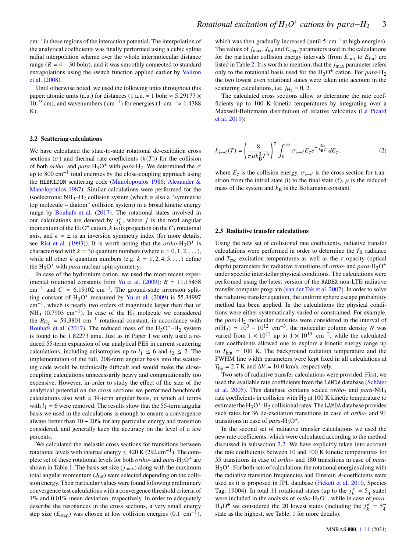cm−<sup>1</sup> in these regions of the interaction potential. The interpolation of the analytical coefficients was finally performed using a cubic spline radial interpolation scheme over the whole intermolecular distance range ( $R = 4 - 30$  bohr), and it was smoothly connected to standard extrapolations using the switch function applied earlier by [Valiron](#page-10-14) [et al.](#page-10-14) [\(2008\)](#page-10-14).

Until otherwise noted, we used the following units throughout this paper: atomic units (a.u.) for distances (1 a.u. = 1 bohr  $\approx$  5.29177  $\times$  $10^{-9}$  cm), and wavenumbers (cm<sup>-1</sup>) for energies (1 cm<sup>-1</sup> ≈ 1.4388  $K$ ).

#### <span id="page-2-0"></span>**2.2 Scattering calculations**

We have calculated the state-to-state rotational de-excitation cross sections  $(\sigma)$  and thermal rate coefficients  $(k(T))$  for the collision of both *ortho*- and *para*-H<sub>3</sub>O<sup>+</sup> with *para*-H<sub>2</sub>. We determined the  $\sigma$ up to 800 cm<sup>-1</sup> total energies by the close-coupling approach using the HIBRIDON scattering code [\(Manolopoulos](#page-9-17) [1986;](#page-9-17) [Alexander &](#page-9-18) [Manolopoulos](#page-9-18) [1987\)](#page-9-18). Similar calculations were performed for the isoelectronic NH3–H2 collision system (which is also a "symmetric top molecule – diatom" collision system) in a broad kinetic energy range by [Bouhafs et al.](#page-9-14) [\(2017\)](#page-9-14). The rotational states involved in our calculations are denoted by  $j_k^{\epsilon}$ , where j is the total angular momentum of the H<sub>3</sub>O<sup>+</sup> cation, k is its projection on the  $C_3$  rotational axis, and  $\epsilon = \pm$  is an inversion symmetry index (for more details, see [Rist et al.](#page-10-15) [\(1993\)](#page-10-15)). It is worth noting that the *ortho*-H<sub>3</sub>O<sup>+</sup> is characterised with  $k = 3n$  quantum numbers (where  $n = 0, 1, 2, \dots$ ), while all other k quantum numbers (e.g.  $k = 1, 2, 4, 5, \ldots$ ) define the  $H_3O^+$  with *para* nuclear spin symmetry.

In case of the hydronium cation, we used the most recent exper-imental rotational constants from [Yu et al.](#page-10-7)  $(2009)$ :  $B = 11.15458$  $\text{cm}^{-1}$  and  $C = 6.19102 \text{ cm}^{-1}$ . The ground-state inversion splitting constant of  $H_3O^+$  measured by [Yu et al.](#page-10-7) [\(2009\)](#page-10-7) is 55.34997 cm−<sup>1</sup> , which is nearly two orders of magnitude larger than that of NH<sub>3</sub> (0.7903 cm<sup>-1</sup>). In case of the H<sub>2</sub> molecule we considered the  $B_{\text{H}_2}$  = 59.3801 cm<sup>-1</sup> rotational constant, in accordance with [Bouhafs et al.](#page-9-14) [\(2017\)](#page-9-14). The reduced mass of the  $H_3O^+$ - $H_2$  system is found to be 1.82273 amu. Just as in Paper I we only used a reduced 55-term expansion of our analytical PES in current scattering calculations, including anisotropies up to  $l_1 \leq 6$  and  $l_2 \leq 2$ . The implementation of the full, 208-term angular basis into the scattering code would be technically difficult and would make the closecoupling calculations unnecessarily heavy and computationally too expensive. However, in order to study the effect of the size of the analytical potential on the cross sections we performed benchmark calculations also with a 39-term angular basis, in which all terms with  $l_1 = 6$  were removed. The results show that the 55-term angular basis we used in the calculations is enough to ensure a convergence always better than 10 − 20% for any particular energy and transition considered, and generally keep the accuracy on the level of a few percents.

We calculated the inelastic cross sections for transitions between rotational levels with internal energy  $\leq 420$  K (292 cm<sup>-1</sup>). The complete set of these rotational levels for both *ortho*- and *para*-H<sub>3</sub>O<sup>+</sup> are shown in Table [1.](#page-3-0) The basis set size  $(j_{\text{max}})$  along with the maximum total angular momentum  $(J_{tot})$  were selected depending on the collision energy. Their particular values were found following preliminary convergence test calculations with a convergence threshold criteria of 1% and 0.01% mean deviation, respectively. In order to adequately describe the resonances in the cross sections, a very small energy step size ( $E_{\text{step}}$ ) was chosen at low collision energies (0.1 cm<sup>-1</sup>),

which was then gradually increased (until 5 cm<sup>-1</sup>at high energies). The values of  $j_{\text{max}}$ ,  $J_{\text{tot}}$  and  $E_{\text{step}}$  parameters used in the calculations for the particular collision energy intervals (from  $E_{\text{init}}$  to  $E_{\text{fin}}$ ) are listed in Table [2.](#page-3-1) It is worth to mention, that the  $j_{\text{max}}$  parameter refers only to the rotational basis used for the H<sub>3</sub>O<sup>+</sup> cation. For *para*-H<sub>2</sub> the two lowest even rotational states were taken into account in the scattering calculations, i.e.  $j_{\text{H}_2} = 0$ , 2.

The calculated cross sections allow to determine the rate coefficients up to 100 K kinetic temperatures by integrating over a Maxwell-Boltzmann distribution of relative velocities [\(Le Picard](#page-9-19) [et al.](#page-9-19) [2019\)](#page-9-19):

$$
k_{\mathbf{i}\to\mathbf{f}}(T) = \left(\frac{8}{\pi\mu k_{\mathbf{B}}^3 T^3}\right)^{\frac{1}{2}} \int_0^\infty \sigma_{\mathbf{i}\to\mathbf{f}} E_{\mathbf{c}} e^{-\frac{E_{\mathbf{c}}}{k_{\mathbf{B}} T}} dE_{\mathbf{c}},\tag{2}
$$

where  $E_c$  is the collision energy,  $\sigma_{i\rightarrow f}$  is the cross section for transition from the initial state (i) to the final state (f),  $\mu$  is the reduced mass of the system and  $k_B$  is the Boltzmann constant.

#### <span id="page-2-1"></span>**2.3 Radiative transfer calculations**

Using the new set of collisional rate coefficients, radiative transfer calculations were performed in order to determine the  $T_R$  radiance and  $T_{\rm exc}$  excitation temperatures as well as the  $\tau$  opacity (optical depth) parameters for radiative transitions of *ortho-* and *para-*H3O + under specific interstellar physical conditions. The calculations were performed using the latest version of the RADEX non-LTE radiative transfer computer program [\(van der Tak et al.](#page-10-16) [2007\)](#page-10-16). In order to solve the radiative transfer equation, the uniform sphere escape probability method has been applied. In the calculations the physical conditions were either systematically varied or constrained. For example, the *para-*H2 molecular densities were considered in the interval of  $n(\text{H}_2) = 10^3 - 10^{12} \text{ cm}^{-3}$ , the molecular column density N was varied from  $1 \times 10^{12}$  up to  $1 \times 10^{15}$  cm<sup>-2</sup>, while the calculated rate coefficients allowed one to explore a kinetic energy range up to  $T_{\text{kin}} = 100$  K. The background radiation temperature and the FWHM line width parameters were kept fixed in all calculations at  $T_{\text{bg}} = 2.7$  K and  $\Delta V = 10.0$  km/s, respectively.

Two sets of radiative transfer calculations were provided. First, we used the available rate coefficients from the LAMDA database [\(Schöier](#page-10-17) [et al.](#page-10-17) [2005\)](#page-10-17). This database contains scaled *ortho-* and *para-*NH3 rate coefficients in collision with  $H_2$  at 100 K kinetic temperature to estimate the  $H_3O^+$ - $H_2$  collisional rates. The LAMDA database provides such rates for 36 de-excitation transitions in case of *ortho-* and 91 transitions in case of *para*-H<sub>3</sub>O<sup>+</sup>.

In the second set of radiative transfer calculations we used the new rate coefficients, which were calculated according to the method discussed in subsection [2.2.](#page-2-0) We have explicitly taken into account the rate coefficients between 10 and 100 K kinetic temperatures for 55 transitions in case of *ortho-* and 180 transitions in case of *para-*H<sub>3</sub>O<sup>+</sup>. For both sets of calculations the rotational energies along with the radiative transition frequencies and Einstein A-coefficients were used as it is proposed in JPL database [\(Pickett et al.](#page-10-18) [2010,](#page-10-18) Species Tag: 19004). In total 11 rotational states (up to the  $j_k^{\epsilon} = 5^+_3$  state) were included in the analysis of *ortho*-H<sub>3</sub>O<sup>+</sup>, while in case of *para-*H<sub>3</sub>O<sup>+</sup> we considered the 20 lowest states (including the  $j_k^{\epsilon} = 5\frac{1}{4}$ state as the highest, see Table. [1](#page-3-0) for more details).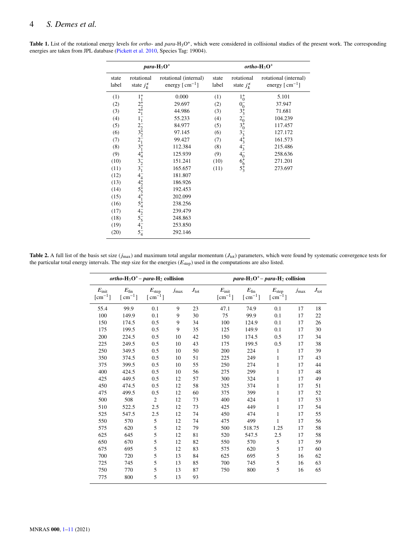|                |                                                                                                                                                                                                                       | para- $H_3O^+$                                       | $ortho-H_3O^+$ |                                                                                                                                       |                                             |  |  |
|----------------|-----------------------------------------------------------------------------------------------------------------------------------------------------------------------------------------------------------------------|------------------------------------------------------|----------------|---------------------------------------------------------------------------------------------------------------------------------------|---------------------------------------------|--|--|
| state<br>label | rotational<br>state $j_k^{\epsilon}$                                                                                                                                                                                  | rotational (internal)<br>energy $[ \text{ cm}^{-1}]$ | state<br>label | rotational<br>state $j_k^{\epsilon}$                                                                                                  | rotational (internal)<br>energy $[cm^{-1}]$ |  |  |
| (1)            |                                                                                                                                                                                                                       | 0.000                                                | (1)            |                                                                                                                                       | 5.101                                       |  |  |
| (2)            |                                                                                                                                                                                                                       | 29.697                                               | (2)            |                                                                                                                                       | 37.947                                      |  |  |
| (3)            |                                                                                                                                                                                                                       | 44.986                                               | (3)            |                                                                                                                                       | 71.681                                      |  |  |
| (4)            |                                                                                                                                                                                                                       | 55.233                                               | (4)            | $1^{+0}_{0}$ $0^{+3}_{3}$ $2^{0}_{0}$ $3^{0}_{3}$ $3^{0}_{4}$ $4^{0}_{3}$ $4^{0}_{4}$ $4^{0}_{0}$ $4^{0}_{0}$ $4^{0}_{0}$ $5^{0}_{3}$ | 104.239                                     |  |  |
| (5)            |                                                                                                                                                                                                                       | 84.977                                               | (5)            |                                                                                                                                       | 117.457                                     |  |  |
| (6)            |                                                                                                                                                                                                                       | 97.145                                               | (6)            |                                                                                                                                       | 127.172                                     |  |  |
| (7)            |                                                                                                                                                                                                                       | 99.427                                               | (7)            |                                                                                                                                       | 161.573                                     |  |  |
| (8)            |                                                                                                                                                                                                                       | 112.384                                              | (8)            |                                                                                                                                       | 215.486                                     |  |  |
| (9)            |                                                                                                                                                                                                                       | 125.939                                              | (9)            |                                                                                                                                       | 258.636                                     |  |  |
| (10)           |                                                                                                                                                                                                                       | 151.241                                              | (10)           |                                                                                                                                       | 271.201                                     |  |  |
| (11)           |                                                                                                                                                                                                                       | 165.657                                              | (11)           |                                                                                                                                       | 273.697                                     |  |  |
| (12)           |                                                                                                                                                                                                                       | 181.807                                              |                |                                                                                                                                       |                                             |  |  |
| (13)           |                                                                                                                                                                                                                       | 186.926                                              |                |                                                                                                                                       |                                             |  |  |
| (14)           |                                                                                                                                                                                                                       | 192.453                                              |                |                                                                                                                                       |                                             |  |  |
| (15)           |                                                                                                                                                                                                                       | 202.099                                              |                |                                                                                                                                       |                                             |  |  |
| (16)           |                                                                                                                                                                                                                       | 238.256                                              |                |                                                                                                                                       |                                             |  |  |
| (17)           |                                                                                                                                                                                                                       | 239.479                                              |                |                                                                                                                                       |                                             |  |  |
| (18)           |                                                                                                                                                                                                                       | 248.863                                              |                |                                                                                                                                       |                                             |  |  |
| (19)           |                                                                                                                                                                                                                       | 253.850                                              |                |                                                                                                                                       |                                             |  |  |
| (20)           | $1_{1}^{+1}_{2}$<br>$2_{2}^{+1}_{1}$ $1_{1}^{+1}_{2}$<br>$2_{3}^{+1}_{2}$<br>$2_{1}^{+1}_{3}$<br>$3_{1}^{+1}_{4}$<br>$4_{2}^{+1}_{5}$<br>$4_{3}^{+1}_{5}$<br>$4_{4}^{+1}_{2}$<br>$5_{4}^{+1}_{5}$<br>$5_{4}^{+1}_{5}$ | 292.146                                              |                |                                                                                                                                       |                                             |  |  |

<span id="page-3-0"></span>Table 1. List of the rotational energy levels for *ortho*- and *para*-H<sub>3</sub>O<sup>+</sup>, which were considered in collisional studies of the present work. The corresponding energies are taken from JPL database [\(Pickett et al.](#page-10-18) [2010,](#page-10-18) Species Tag: 19004).

<span id="page-3-1"></span>Table 2. A full list of the basis set size  $(j_{max})$  and maximum total angular momentum  $(J_{tot})$  parameters, which were found by systematic convergence tests for the particular total energy intervals. The step size for the energies  $(E_{step})$  used in the computations are also listed.

|                                                         | ortho- $H_3O^+$ – para- $H_2$ collision  |                               |               |               |                                                        | para-H <sub>3</sub> O <sup>+</sup> - para-H <sub>2</sub> collision |                               |                  |               |  |
|---------------------------------------------------------|------------------------------------------|-------------------------------|---------------|---------------|--------------------------------------------------------|--------------------------------------------------------------------|-------------------------------|------------------|---------------|--|
| $E_{\text{init}}$<br>$\lceil$ cm <sup>-1</sup> $\rceil$ | $E_{fin}$<br>$\lceil$ cm <sup>-1</sup> ] | $E_{\rm step}$<br>$[cm^{-1}]$ | $j_{\rm max}$ | $J_{\rm tot}$ | $E_{\rm init}$<br>$\lfloor$ cm <sup>-1</sup> $\rfloor$ | $E_{fin}$<br>$\lceil$ cm <sup>-1</sup> ]                           | $E_{\rm step}$<br>$[cm^{-1}]$ | $j_{\text{max}}$ | $J_{\rm tot}$ |  |
| 55.4                                                    | 99.9                                     | 0.1                           | 9             | 23            | 47.1                                                   | 74.9                                                               | 0.1                           | 17               | 18            |  |
| 100                                                     | 149.9                                    | 0.1                           | 9             | 30            | 75                                                     | 99.9                                                               | 0.1                           | 17               | 22            |  |
| 150                                                     | 174.5                                    | 0.5                           | 9             | 34            | 100                                                    | 124.9                                                              | 0.1                           | 17               | 26            |  |
| 175                                                     | 199.5                                    | 0.5                           | 9             | 35            | 125                                                    | 149.9                                                              | 0.1                           | 17               | 30            |  |
| 200                                                     | 224.5                                    | 0.5                           | 10            | 42            | 150                                                    | 174.5                                                              | 0.5                           | 17               | 34            |  |
| 225                                                     | 249.5                                    | 0.5                           | 10            | 43            | 175                                                    | 199.5                                                              | 0.5                           | 17               | 38            |  |
| 250                                                     | 349.5                                    | 0.5                           | 10            | 50            | 200                                                    | 224                                                                | 1                             | 17               | 39            |  |
| 350                                                     | 374.5                                    | 0.5                           | 10            | 51            | 225                                                    | 249                                                                | 1                             | 17               | 43            |  |
| 375                                                     | 399.5                                    | 0.5                           | 10            | 55            | 250                                                    | 274                                                                | 1                             | 17               | 44            |  |
| 400                                                     | 424.5                                    | 0.5                           | 10            | 56            | 275                                                    | 299                                                                | 1                             | 17               | 48            |  |
| 425                                                     | 449.5                                    | 0.5                           | 12            | 57            | 300                                                    | 324                                                                | 1                             | 17               | 49            |  |
| 450                                                     | 474.5                                    | 0.5                           | 12            | 58            | 325                                                    | 374                                                                | 1                             | 17               | 51            |  |
| 475                                                     | 499.5                                    | 0.5                           | 12            | 60            | 375                                                    | 399                                                                | 1                             | 17               | 52            |  |
| 500                                                     | 508                                      | $\overline{2}$                | 12            | 73            | 400                                                    | 424                                                                | $\mathbf{1}$                  | 17               | 53            |  |
| 510                                                     | 522.5                                    | 2.5                           | 12            | 73            | 425                                                    | 449                                                                | 1                             | 17               | 54            |  |
| 525                                                     | 547.5                                    | 2.5                           | 12            | 74            | 450                                                    | 474                                                                | 1                             | 17               | 55            |  |
| 550                                                     | 570                                      | 5                             | 12            | 74            | 475                                                    | 499                                                                | 1                             | 17               | 56            |  |
| 575                                                     | 620                                      | 5                             | 12            | 79            | 500                                                    | 518.75                                                             | 1.25                          | 17               | 58            |  |
| 625                                                     | 645                                      | 5                             | 12            | 81            | 520                                                    | 547.5                                                              | 2.5                           | 17               | 58            |  |
| 650                                                     | 670                                      | 5                             | 12            | 82            | 550                                                    | 570                                                                | 5                             | 17               | 59            |  |
| 675                                                     | 695                                      | 5                             | 12            | 83            | 575                                                    | 620                                                                | 5                             | 17               | 60            |  |
| 700                                                     | 720                                      | 5                             | 13            | 84            | 625                                                    | 695                                                                | 5                             | 16               | 62            |  |
| 725                                                     | 745                                      | 5                             | 13            | 85            | 700                                                    | 745                                                                | 5                             | 16               | 63            |  |
| 750                                                     | 770                                      | 5                             | 13            | 87            | 750                                                    | 800                                                                | 5                             | 16               | 65            |  |
| 775                                                     | 800                                      | 5                             | 13            | 93            |                                                        |                                                                    |                               |                  |               |  |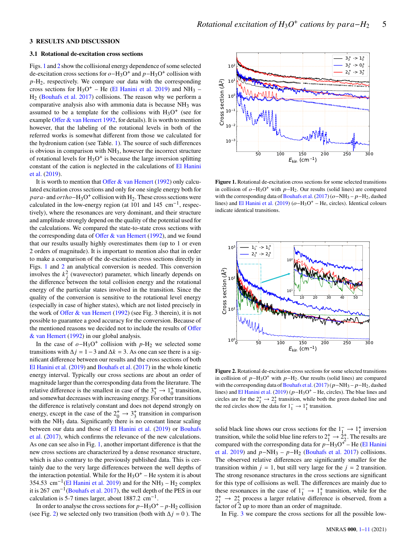# <span id="page-4-0"></span>**3 RESULTS AND DISCUSSION**

#### **3.1 Rotational de-excitation cross sections**

Figs. [1](#page-4-1) and [2](#page-4-2) show the collisional energy dependence of some selected de-excitation cross sections for  $o-H_3O^+$  and  $p-H_3O^+$  collision with  $p$ -H<sub>2</sub>, respectively. We compare our data with the corresponding cross sections for  $H_3O^+$  – He [\(El Hanini et al.](#page-9-13) [2019\)](#page-9-13) and NH<sub>3</sub> –  $H<sub>2</sub>$  [\(Bouhafs et al.](#page-9-14) [2017\)](#page-9-14) collisions. The reason why we perform a comparative analysis also with ammonia data is because  $NH<sub>3</sub>$  was assumed to be a template for the collisions with  $H_3O^+$  (see for example [Offer & van Hemert](#page-9-12) [1992,](#page-9-12) for details). It is worth to mention however, that the labeling of the rotational levels in both of the referred works is somewhat different from those we calculated for the hydronium cation (see Table. [1\)](#page-3-0). The source of such differences is obvious in comparison with NH3, however the incorrect structure of rotational levels for  $H_3O^+$  is because the large inversion splitting constant of the cation is neglected in the calculations of [El Hanini](#page-9-13) [et al.](#page-9-13) [\(2019\)](#page-9-13).

It is worth to mention that [Offer & van Hemert](#page-9-12) [\(1992\)](#page-9-12) only calculated excitation cross sections and only for one single energy both for para- and  $ortho$ -H<sub>3</sub>O<sup>+</sup> collision with H<sub>2</sub>. These cross sections were calculated in the low-energy region (at 101 and 145  $cm^{-1}$ , respectively), where the resonances are very dominant, and their structure and amplitude strongly depend on the quality of the potential used for the calculations. We compared the state-to-state cross sections with the corresponding data of [Offer & van Hemert](#page-9-12) [\(1992\)](#page-9-12), and we found that our results usually highly overestimates them (up to 1 or even 2 orders of magnitude). It is important to mention also that in order to make a comparison of the de-excitation cross sections directly in Figs. [1](#page-4-1) and [2](#page-4-2) an analytical conversion is needed. This conversion involves the  $k_i^2$  (wavevector) parameter, which linearly depends on the difference between the total collision energy and the rotational energy of the particular states involved in the transition. Since the quality of the conversion is sensitive to the rotational level energy (especially in case of higher states), which are not listed precisely in the work of [Offer & van Hemert](#page-9-12) [\(1992\)](#page-9-12) (see Fig. 3 therein), it is not possible to guarantee a good accuracy for the conversion. Because of the mentioned reasons we decided not to include the results of [Offer](#page-9-12) [& van Hemert](#page-9-12) [\(1992\)](#page-9-12) in our global analysis.

In the case of  $o-H_3O^+$  collision with  $p-H_2$  we selected some transitions with  $\Delta j = 1-3$  and  $\Delta k = 3$ . As one can see there is a significant difference between our results and the cross sections of both [El Hanini et al.](#page-9-13) [\(2019\)](#page-9-13) and [Bouhafs et al.](#page-9-14) [\(2017\)](#page-9-14) in the whole kinetic energy interval. Typically our cross sections are about an order of magnitude larger than the corresponding data from the literature. The relative difference is the smallest in case of the  $3^+_3 \rightarrow 1^+_0$  transition, and somewhat decreases with increasing energy. For other transitions the difference is relatively constant and does not depend strongly on energy, except in the case of the  $2^+_0 \rightarrow 3^+_3$  transition in comparison with the  $NH<sub>3</sub>$  data. Significantly there is no constant linear scaling between our data and those of [El Hanini et al.](#page-9-13) [\(2019\)](#page-9-13) or [Bouhafs](#page-9-14) [et al.](#page-9-14) [\(2017\)](#page-9-14), which confirms the relevance of the new calculations. As one can see also in Fig. [1,](#page-4-1) another important difference is that the new cross sections are characterized by a dense resonance structure, which is also contrary to the previously published data. This is certainly due to the very large differences between the well depths of the interaction potential. While for the  $H_3O^+$  – He system it is about 354.53 cm<sup>-1</sup>[\(El Hanini et al.](#page-9-13) [2019\)](#page-9-13) and for the NH<sub>3</sub> – H<sub>2</sub> complex it is 267 cm<sup>-1</sup>[\(Bouhafs et al.](#page-9-14) [2017\)](#page-9-14), the well depth of the PES in our calculation is 5-7 times larger, about 1887.2  $cm^{-1}$ . of reactional excellent in the transition (see Fig. [2\)](#page-4-2) we selected only the selected only the selected only two transition (b) and  $\chi$  and  $\chi$  (c) (b) is because the fig. 2) we selected on the selected only to the selec

In order to analyse the cross sections for  $p-\text{H}_3\text{O}^+ - p-\text{H}_2$  collision



<span id="page-4-1"></span>**Figure 1.** Rotational de-excitation cross sections for some selected transitions in collision of  $o$ -H<sub>3</sub>O<sup>+</sup> with  $p$ -H<sub>2</sub>. Our results (solid lines) are compared with the corresponding data of [Bouhafs et al.](#page-9-14) [\(2017\)](#page-9-14) ( $o$ -NH<sub>3</sub> –  $p$ -H<sub>2</sub>, dashed lines) and [El Hanini et al.](#page-9-13) [\(2019\)](#page-9-13) ( $o-H_3O^+$  – He, circles). Identical colours indicate identical transitions.



<span id="page-4-2"></span>**Figure 2.** Rotational de-excitation cross sections for some selected transitions in collision of  $p-H_3O^+$  with  $p-H_2$ . Our results (solid lines) are compared with the corresponding data of Bouhafs et al. (2017) ( $p$  –NH<sub>3</sub> –  $p$  –H<sub>2</sub>, dashed lines) and [El Hanini et al.](#page-9-13) [\(2019\)](#page-9-13) ( $p$ -H<sub>3</sub>O<sup>+</sup> – He, circles). The blue lines and circles are for the  $2^+_1 \rightarrow 2^+_2$  transition, while both the green dashed line and the red circles show the data for  $1^-_1 \rightarrow 1^+_1$  transition.

solid black line shows our cross sections for the  $1^- \rightarrow 1^+$  inversion transition, while the solid blue line refers to  $2^+_1 \rightarrow 2^+_2$ . The results are compared with the corresponding data for  $p-H_3O^+$  – He [\(El Hanini](#page-9-13) [et al.](#page-9-13) [2019\)](#page-9-13) and  $p-NH_3 - p-H_2$  [\(Bouhafs et al.](#page-9-14) [2017\)](#page-9-14) collisions. The observed relative differences are significantly smaller for the transition within  $j = 1$ , but still very large for the  $j = 2$  transition. The strong resonance structures in the cross sections are significant for this type of collisions as well. The differences are mainly due to these resonances in the case of  $1^-_1 \rightarrow 1^+_1$  transition, while for the  $2^+_1 \rightarrow 2^+_2$  process a larger relative difference is observed, from a factor of 2 up to more than an order of magnitude.

In Fig. [3](#page-5-0) we compare the cross sections for all the possible low-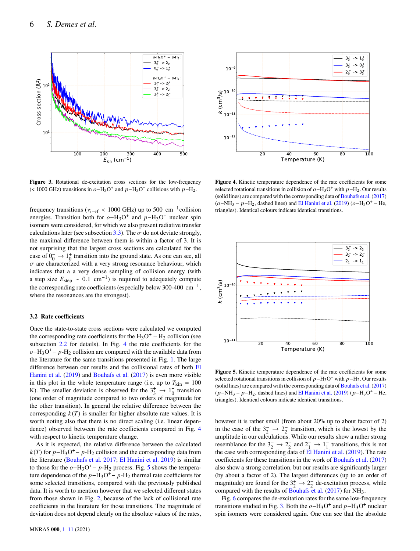

**Figure 3.** Rotational de-excitation cross sections for the low-frequency (< 1000 GHz) transitions in  $o$ -H<sub>3</sub>O<sup>+</sup> and  $p$ -H<sub>3</sub>O<sup>+</sup> collisions with  $p$ -H<sub>2</sub>.

frequency transitions ( $v_{i\rightarrow f}$  < 1000 GHz) up to 500 cm<sup>-1</sup>collision energies. Transition both for  $o-H_3O^+$  and  $p-H_3O^+$  nuclear spin isomers were considered, for which we also present radiative transfer calculations later (see subsection [3.3\)](#page-6-0). The  $\sigma$  do not deviate strongly, the maximal difference between them is within a factor of 3. It is not surprising that the largest cross sections are calculated for the case of  $0_0^- \rightarrow 1_0^+$  transition into the ground state. As one can see, all  $\sigma$  are characterized with a very strong resonance behaviour, which indicates that a a very dense sampling of collision energy (with a step size  $E_{\text{step}} \sim 0.1 \text{ cm}^{-1}$ ) is required to adequately compute the corresponding rate coefficients (especially below 300-400  $\text{cm}^{-1}$ , where the resonances are the strongest).

# **3.2 Rate coefficients**

Once the state-to-state cross sections were calculated we computed the corresponding rate coefficients for the  $H_3O^+ - H_2$  collision (see subsection [2.2](#page-2-0) for details). In Fig. [4](#page-5-1) the rate coefficients for the  $o$ -H<sub>3</sub>O<sup>+</sup>-  $p$ -H<sub>2</sub> collision are compared with the available data from the literature for the same transitions presented in Fig. [1.](#page-4-1) The large difference between our results and the collisional rates of both [El](#page-9-13) [Hanini et al.](#page-9-13) [\(2019\)](#page-9-13) and [Bouhafs et al.](#page-9-14) [\(2017\)](#page-9-14) is even more visible in this plot in the whole temperature range (i.e. up to  $T_{\text{kin}} = 100$ K). The smaller deviation is observed for the  $3^+_3 \rightarrow 1^+_0$  transition (one order of magnitude compared to two orders of magnitude for the other transition). In general the relative difference between the corresponding  $k(T)$  is smaller for higher absolute rate values. It is worth noting also that there is no direct scaling (i.e. linear dependence) observed between the rate coefficients compared in Fig. [4](#page-5-1) with respect to kinetic temperature change.

As it is expected, the relative difference between the calculated  $k(T)$  for  $p-\text{H}_3\text{O}^+$  –  $p-\text{H}_2$  collision and the corresponding data from the literature [\(Bouhafs et al.](#page-9-14) [2017;](#page-9-14) [El Hanini et al.](#page-9-13) [2019\)](#page-9-13) is similar to those for the  $o-H_3O^+ - p-H_2$  process. Fig. [5](#page-5-2) shows the temperature dependence of the  $p-H_3O^+ - p-H_2$  thermal rate coefficients for some selected transitions, compared with the previously published data. It is worth to mention however that we selected different states from those shown in Fig. [2,](#page-4-2) because of the lack of collisional rate coefficients in the literature for those transitions. The magnitude of



<span id="page-5-1"></span>**Figure 4.** Kinetic temperature dependence of the rate coefficients for some selected rotational transitions in collision of  $o-H_3O^+$  with  $p-H_2$ . Our results (solid lines) are compared with the corresponding data of Bouhafs et al.  $(2017)$  $(o-NH<sub>3</sub> - p-H<sub>2</sub>$ , dashed lines) and [El Hanini et al.](#page-9-13) [\(2019\)](#page-9-13) ( $o-H<sub>3</sub>O<sup>+</sup> - He$ , triangles). Identical colours indicate identical transitions.

<span id="page-5-0"></span>

<span id="page-5-2"></span>**Figure 5.** Kinetic temperature dependence of the rate coefficients for some selected rotational transitions in collision of  $p-H_3O^+$  with  $p-H_2$ . Our results (solid lines) are compared with the corresponding data of Bouhafs et al.  $(2017)$  $(p-NH<sub>3</sub> - p-H<sub>2</sub>$ , dashed lines) and [El Hanini et al.](#page-9-13) [\(2019\)](#page-9-13) ( $p-H<sub>3</sub>O<sup>+</sup> - He$ , triangles). Identical colours indicate identical transitions.

however it is rather small (from about 20% up to about factor of 2) in the case of the  $3\frac{1}{2} \rightarrow 2\frac{1}{2}$  transition, which is the lowest by the amplitude in our calculations. While our results show a rather strong resemblance for the  $3\frac{1}{2} \rightarrow 2\frac{1}{2}$  and  $2\frac{1}{2} \rightarrow 1\frac{1}{2}$  transitions, this is not the case with corresponding data of  $E1$  Hanini et al. [\(2019\)](#page-9-13). The rate coefficients for these transitions in the work of [Bouhafs et al.](#page-9-14) [\(2017\)](#page-9-14) also show a strong correlation, but our results are significantly larger (by about a factor of 2). The largest differences (up to an order of magnitude) are found for the  $3^+_2 \rightarrow 2^-_2$  de-excitation process, while compared with the results of [Bouhafs et al.](#page-9-14) [\(2017\)](#page-9-14) for NH<sub>3</sub>.

Fig. [6](#page-6-1) compares the de-excitation rates for the same low-frequency transitions studied in Fig. [3.](#page-5-0) Both the  $o-H_3O^+$  and  $p-H_3O^+$  nuclear spin isomers were considered again. One can see that the absolute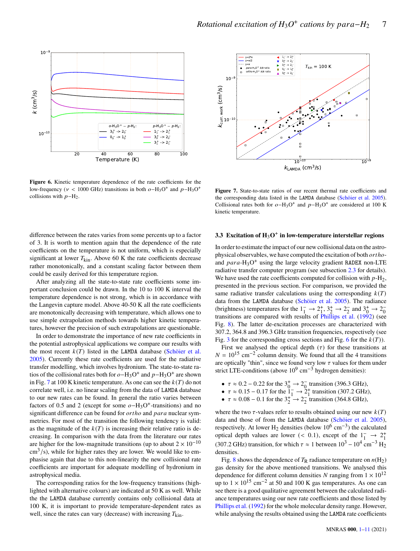

<span id="page-6-1"></span>Figure 6. Kinetic temperature dependence of the rate coefficients for the low-frequency ( $v < 1000$  GHz) transitions in both  $o-H_3O^+$  and  $p-H_3O^+$ collisions with  $p-H_2$ .



<span id="page-6-2"></span>**Figure 7.** State-to-state ratios of our recent thermal rate coefficients and the corresponding data listed in the LAMDA database [\(Schöier et al.](#page-10-17) [2005\)](#page-10-17). Collisional rates both for  $o-H_3O^+$  and  $p-H_3O^+$  are considered at 100 K kinetic temperature.

difference between the rates varies from some percents up to a factor of 3. It is worth to mention again that the dependence of the rate coefficients on the temperature is not uniform, which is especially significant at lower  $T_{\text{kin}}$ . Above 60 K the rate coefficients decrease rather monotonically, and a constant scaling factor between them could be easily derived for this temperature region.

After analyzing all the state-to-state rate coefficients some important conclusion could be drawn. In the 10 to 100 K interval the temperature dependence is not strong, which is in accordance with the Langevin capture model. Above 40-50 K all the rate coefficients are monotonically decreasing with temperature, which allows one to use simple extrapolation methods towards higher kinetic temperatures, however the precision of such extrapolations are questionable.

In order to demonstrate the importance of new rate coefficients in the potential astrophysical applications we compare our results with the most recent  $k(T)$  listed in the LAMDA database [\(Schöier et al.](#page-10-17) [2005\)](#page-10-17). Currently these rate coefficients are used for the radiative transfer modelling, which involves hydronium. The state-to-state ratios of the collisional rates both for  $o$ -H<sub>3</sub>O<sup>+</sup> and  $p$ -H<sub>3</sub>O<sup>+</sup> are shown in Fig. [7](#page-6-2) at 100 K kinetic temperature. As one can see the  $k(T)$  do not correlate well, i.e. no linear scaling from the data of LAMDA database to our new rates can be found. In general the ratio varies between factors of 0.5 and 2 (except for some  $o-H_3O^+$ -transitions) and no significant difference can be found for *ortho* and *para* nuclear symmetries. For most of the transition the following tendency is valid: as the magnitude of the  $k(T)$  is increasing their relative ratio is decreasing. In comparison with the data from the literature our rates are higher for the low-magnitude transitions (up to about  $2 \times 10^{-10}$  $\text{cm}^3/\text{s}$ ), while for higher rates they are lower. We would like to emphasise again that due to this non-linearity the new collisional rate coefficients are important for adequate modelling of hydronium in astrophysical media.

The corresponding ratios for the low-frequency transitions (highlighted with alternative colours) are indicated at 50 K as well. While the the LAMDA database currently contains only collisional data at 100 K, it is important to provide temperature-dependent rates as well, since the rates can vary (decrease) with increasing  $T_{\text{kin}}$ .

# <span id="page-6-0"></span>**3.3 Excitation of H**3**O**<sup>+</sup> **in low-temperature interstellar regions**

In order to estimate the impact of our new collisional data on the astrophysical observables, we have computed the excitation of both  $ortho$ and  $para$ -H<sub>3</sub>O<sup>+</sup> using the large velocity gradient RADEX non-LTE radiative transfer computer program (see subsection [2.3](#page-2-1) for details). We have used the rate coefficients computed for collision with  $p-H_2$ , presented in the previous section. For comparison, we provided the same radiative transfer calculations using the corresponding  $k(T)$ data from the LAMDA database [\(Schöier et al.](#page-10-17) [2005\)](#page-10-17). The radiance (brightness) temperatures for the  $1^-_1 \rightarrow 2^+_1, 3^+_2 \rightarrow 2^-_2$  and  $3^+_0 \rightarrow 2^-_0$ transitions are compared with results of [Phillips et al.](#page-9-2) [\(1992\)](#page-9-2) (see Fig. [8\)](#page-7-0). The latter de-excitation processes are characterized with 307.2, 364.8 and 396.3 GHz transition frequencies, respectively (see Fig. [3](#page-5-0) for the corresponding cross sections and Fig. [6](#page-6-1) for the  $k(T)$ ).

First we analysed the optical depth  $(\tau)$  for these transitions at  $N = 10^{15}$  cm<sup>-2</sup> column density. We found that all the 4 transitions are optically "thin", since we found very low  $\tau$  values for them under strict LTE-conditions (above  $10^9$  cm<sup>-3</sup> hydrogen densities):

- $\tau \approx 0.2 0.22$  for the  $3^{+}_{0} \rightarrow 2^{-}_{0}$  transition (396.3 GHz),
- $\tau \approx 0.15 0.17$  for the  $1^{-}_{1} \rightarrow 2^{+}_{1}$  transition (307.2 GHz),
- $\tau \approx 0.08 0.1$  for the  $3^{+}_{2} \rightarrow 2^{-}_{2}$  transition (364.8 GHz),

where the two  $\tau$ -values refer to results obtained using our new  $k(T)$ data and those of from the LAMDA database [\(Schöier et al.](#page-10-17) [2005\)](#page-10-17), respectively. At lower H<sub>2</sub> densities (below  $10^6$  cm<sup>-3</sup>) the calculated optical depth values are lower (< 0.1), except of the  $1_1^- \rightarrow 2_1^+$ <br>(307.2 GHz) transition, for which  $\tau \approx 1$  between  $10^3 - 10^4$  cm<sup>-3</sup> H<sub>2</sub> densities.

Fig. [8](#page-7-0) shows the dependence of  $T_R$  radiance temperature on  $n(H_2)$ gas density for the above mentioned transitions. We analysed this dependence for different column densities N ranging from  $1 \times 10^{12}$ up to  $1 \times 10^{15}$  cm<sup>-2</sup> at 50 and 100 K gas temperatures. As one can see there is a good qualitative agreement between the calculated radiance temperatures using our new rate coefficients and those listed by [Phillips et al.](#page-9-2) [\(1992\)](#page-9-2) for the whole molecular density range. However, while analysing the results obtained using the LAMDA rate coefficients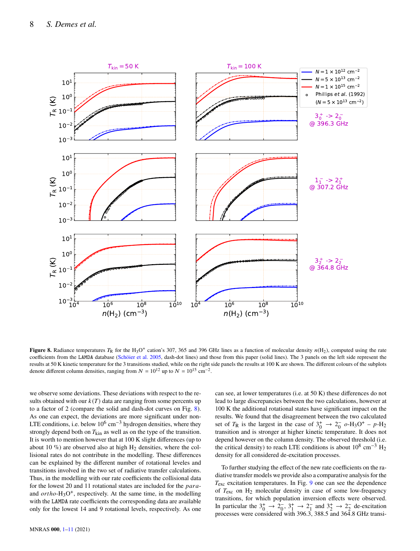

**Figure 8.** Radiance temperatures  $T_R$  for the H<sub>3</sub>O<sup>+</sup> cation's 307, 365 and 396 GHz lines as a function of molecular density  $n(H_2)$ , computed using the rate coefficients from the LAMDA database [\(Schöier et al.](#page-10-17) [2005,](#page-10-17) dash-dot lines) and those from this paper (solid lines). The 3 panels on the left side represent the results at 50 K kinetic temperature for the 3 transitions studied, while on the right side panels the results at 100 K are shown. The different colours of the subplots denote different column densities, ranging from  $N = 10^{12}$  up to  $N = 10^{15}$  cm<sup>-2</sup>.

we observe some deviations. These deviations with respect to the results obtained with our  $k(T)$  data are ranging from some percents up to a factor of 2 (compare the solid and dash-dot curves on Fig. [8\)](#page-7-0). As one can expect, the deviations are more significant under non-LTE conditions, i.e. below  $10^6$  cm<sup>-3</sup> hydrogen densities, where they strongly depend both on  $T_{\text{kin}}$  as well as on the type of the transition. It is worth to mention however that at 100 K slight differences (up to about 10  $\%$ ) are observed also at high H<sub>2</sub> densities, where the collisional rates do not contribute in the modelling. These differences can be explained by the different number of rotational leveles and transitions involved in the two set of radiative transfer calculations. Thus, in the modelling with our rate coefficients the collisional data for the lowest 20 and 11 rotational states are included for the  $para$ and  $ortho-H<sub>3</sub>O<sup>+</sup>$ , respectively. At the same time, in the modelling with the LAMDA rate coefficients the corresponding data are available only for the lowest 14 and 9 rotational levels, respectively. As one <span id="page-7-0"></span>can see, at lower temperatures (i.e. at 50 K) these differences do not lead to large discrepancies between the two calculations, however at 100 K the additional rotational states have significant impact on the results. We found that the disagreement between the two calculated set of  $T_R$  is the largest in the case of  $3^+_0 \rightarrow 2^-_0$   $o\text{-}H_3\text{O}^+ - p\text{-}H_2$ transition and is stronger at higher kinetic temperature. It does not depend however on the column density. The observed threshold (i.e. the critical density) to reach LTE conditions is about  $10^8 \text{ cm}^{-3} \text{ H}_2$ density for all considered de-excitation processes.

To further studying the effect of the new rate coefficients on the radiative transfer models we provide also a comparative analysis for the  $T_{\rm exc}$  excitation temperatures. In Fig. [9](#page-8-0) one can see the dependence of  $T_{\text{exc}}$  on  $H_2$  molecular density in case of some low-frequency transitions, for which population inversion effects were observed. In particular the  $3^+_0 \rightarrow 2^-_0$ ,  $3^+_1 \rightarrow 2^-_1$  and  $3^+_2 \rightarrow 2^-_2$  de-excitation processes were considered with 396.3, 388.5 and 364.8 GHz transi-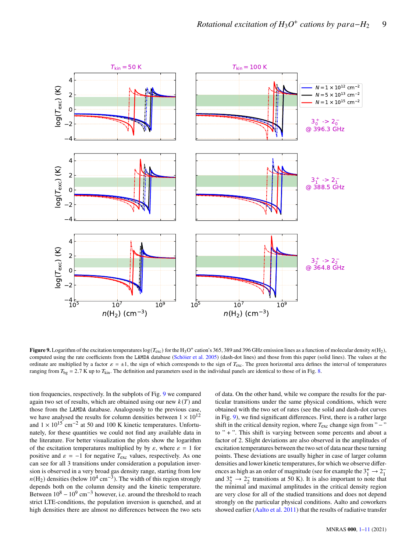

**Figure 9.** Logarithm of the excitation temperatures  $log(T_{\text{exc}})$  for the H<sub>3</sub>O<sup>+</sup> cation's 365, 389 and 396 GHz emission lines as a function of molecular density  $n(H_2)$ , computed using the rate coefficients from the LAMDA database [\(Schöier et al.](#page-10-17) [2005\)](#page-10-17) (dash-dot lines) and those from this paper (solid lines). The values at the ordinate are multiplied by a factor  $\varepsilon = \pm 1$ , the sign of which corresponds to the sign of  $T_{\text{exc}}$ . The green horizontal area defines the interval of temperatures ranging from  $T_{bg} = 2.7$  K up to  $T_{kin}$ . The definition and parameters used in the individual panels are identical to those of in Fig. [8.](#page-7-0)

tion frequencies, respectively. In the subplots of Fig. [9](#page-8-0) we compared again two set of results, which are obtained using our new  $k(T)$  and those from the LAMDA database. Analogously to the previous case, we have analysed the results for column densities between  $1 \times 10^{12}$ and  $1 \times 10^{15}$  cm<sup>-2</sup> at 50 and 100 K kinetic temperatures. Unfortunately, for these quantities we could not find any available data in the literature. For better visualization the plots show the logarithm of the excitation temperatures multiplied by by  $\varepsilon$ , where  $\varepsilon = 1$  for positive and  $\varepsilon = -1$  for negative  $T_{\text{exc}}$  values, respectively. As one can see for all 3 transitions under consideration a population inversion is observed in a very broad gas density range, starting from low  $n(H_2)$  densities (below  $10^4 \text{ cm}^{-3}$ ). The width of this region strongly depends both on the column density and the kinetic temperature. Between  $10^8 - 10^9$  cm<sup>-3</sup> however, i.e. around the threshold to reach strict LTE-conditions, the population inversion is quenched, and at high densities there are almost no differences between the two sets <span id="page-8-0"></span>of data. On the other hand, while we compare the results for the particular transitions under the same physical conditions, which were obtained with the two set of rates (see the solid and dash-dot curves in Fig. [9\)](#page-8-0), we find significant differences. First, there is a rather large shift in the critical density region, where  $T_{\text{exc}}$  change sign from " − " to " + ". This shift is varying between some percents and about a factor of 2. Slight deviations are also observed in the amplitudes of excitation temperatures between the two set of data near these turning points. These deviations are usually higher in case of larger column densities and lower kinetic temperatures, for which we observe differences as high as an order of magnitude (see for example the  $3^+_1 \rightarrow 2^-_1$ and  $3^+_2 \rightarrow 2^-_2$  transitions at 50 K). It is also important to note that the minimal and maximal amplitudes in the critical density region are very close for all of the studied transitions and does not depend strongly on the particular physical conditions. Aalto and coworkers showed earlier [\(Aalto et al.](#page-9-20) [2011\)](#page-9-20) that the results of radiative transfer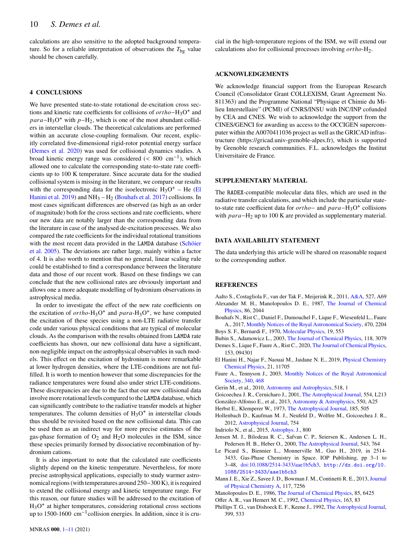calculations are also sensitive to the adopted background temperature. So for a reliable interpretation of observations the  $T_{\text{bg}}$  value should be chosen carefully.

# <span id="page-9-0"></span>**4 CONCLUSIONS**

We have presented state-to-state rotational de-excitation cross sections and kinetic rate coefficients for collisions of  $ortho-H_3O^+$  and  $para - H_3O^+$  with  $p - H_2$ , which is one of the most abundant colliders in interstellar clouds. The theoretical calculations are performed within an accurate close-coupling formalism. Our recent, explicitly correlated five-dimensional rigid-rotor potential energy surface [\(Demes et al.](#page-9-10) [2020\)](#page-9-10) was used for collisional dynamics studies. A broad kinetic energy range was considered  $\left($  < 800 cm<sup>-1</sup>), which allowed one to calculate the corresponding state-to-state rate coefficients up to 100 K temperature. Since accurate data for the studied collisional system is missing in the literature, we compare our results with the corresponding data for the isoelectronic  $H_3O^+$  – He [\(El](#page-9-13) [Hanini et al.](#page-9-13) [2019\)](#page-9-13) and  $NH_3 - H_2$  [\(Bouhafs et al.](#page-9-14) [2017\)](#page-9-14) collisions. In most cases significant differences are observed (as high as an order of magnitude) both for the cross sections and rate coefficients, where our new data are notably larger than the corresponding data from the literature in case of the analysed de-excitation processes. We also compared the rate coefficients for the individual rotational transitions with the most recent data provided in the LAMDA database [\(Schöier](#page-10-17) [et al.](#page-10-17) [2005\)](#page-10-17). The deviations are rather large, mainly within a factor of 4. It is also worth to mention that no general, linear scaling rule could be established to find a correspondance between the literature data and those of our recent work. Based on these findings we can conclude that the new collisional rates are obviously important and allows one a more adequate modelling of hydronium observations in astrophysical media.

In order to investigate the effect of the new rate coefficients on the excitation of  $ortho-H_3O^+$  and  $para-H_3O^+$ , we have computed the excitation of these species using a non-LTE radiative transfer code under various physical conditions that are typical of molecular clouds. As the comparison with the results obtained from LAMDA rate coefficients has shown, our new collisional data have a significant, non-negligible impact on the astrophysical observables in such models. This effect on the excitation of hydronium is more remarkable at lower hydrogen densities, where the LTE-conditions are not fulfilled. It is worth to mention however that some discrepancies for the radiance temperatures were found also under strict LTE-conditions. These discrepancies are due to the fact that our new collisional data involve more rotational levels compared to the LAMDA database, which can significantly contribute to the radiative transfer models at higher temperatures. The column densities of  $H_3O^+$  in interstellar clouds thus should be revisited based on the new collisional data. This can be used then as an indirect way for more precise estimates of the gas-phase formation of  $O_2$  and  $H_2O$  molecules in the ISM, since these species primarily formed by dissociative recombination of hydronium cations.

It is also important to note that the calculated rate coefficients slightly depend on the kinetic temperature. Nevertheless, for more precise astrophysical applications, especially to study warmer astronomical regions (with temperatures around 250−300 K), it is required to extend the collisional energy and kinetic temperature range. For this reason, our future studies will be addressed to the excitation of H3O + at higher temperatures, considering rotational cross sections up to 1500-1600 cm−<sup>1</sup> collision energies. In addition, since it is crucial in the high-temperature regions of the ISM, we will extend our calculations also for collisional processes involving  $ortho-H<sub>2</sub>$ .

# **ACKNOWLEDGEMENTS**

We acknowledge financial support from the European Research Council (Consolidator Grant COLLEXISM, Grant Agreement No. 811363) and the Programme National "Physique et Chimie du Milieu Interstellaire" (PCMI) of CNRS/INSU with INC/INP cofunded by CEA and CNES. We wish to acknowledge the support from the CINES/GENCI for awarding us access to the OCCIGEN supercomputer within the A0070411036 project as well as the GRICAD infrastructure (https://gricad.univ-grenoble-alpes.fr), which is supported by Grenoble research communities. F.L. acknowledges the Institut Universitaire de France.

# **SUPPLEMENTARY MATERIAL**

The RADEX-compatible molecular data files, which are used in the radiative transfer calculations, and which include the particular stateto-state rate coefficient data for  $ortho$  – and  $para - H_3O^+$  collisions with  $para - H_2$  up to 100 K are provided as supplementary material.

# **DATA AVAILABILITY STATEMENT**

The data underlying this article will be shared on reasonable request to the corresponding author.

## **REFERENCES**

<span id="page-9-20"></span><span id="page-9-18"></span>Aalto S., Costagliola F., van der Tak F., Meijerink R., 2011, [A&A,](http://dx.doi.org/10.1051/0004-6361/201015878) 527, A69 Alexander M. H., Manolopoulos D. E., 1987, [The Journal of Chemical](http://dx.doi.org/10.1063/1.452154) [Physics,](http://dx.doi.org/10.1063/1.452154) 86, 2044

- <span id="page-9-14"></span>Bouhafs N., Rist C., Daniel F., Dumouchel F., Lique F., Wiesenfeld L., Faure A., 2017, [Monthly Notices of the Royal Astronomical Society,](http://dx.doi.org/10.1093/mnras/stx1331) 470, 2204
- <span id="page-9-15"></span>Boys S. F., Bernardi F., 1970, [Molecular Physics,](http://dx.doi.org/10.1080/00268977000101561) 19, 553
- <span id="page-9-16"></span>Bubin S., Adamowicz L., 2003, [The Journal of Chemical Physics,](http://dx.doi.org/10.1063/1.1537719) 118, 3079
- <span id="page-9-10"></span>Demes S., Lique F., Faure A., Rist C., 2020, [The Journal of Chemical Physics,](http://dx.doi.org/10.1063/5.0015813) 153, 094301
- <span id="page-9-13"></span>El Hanini H., Najar F., Naouai M., Jaidane N. E., 2019, [Physical Chemistry](http://dx.doi.org/10.1039/c9cp01889a) [Chemical Physics,](http://dx.doi.org/10.1039/c9cp01889a) 21, 11705
- <span id="page-9-11"></span>Faure A., Tennyson J., 2003, [Monthly Notices of the Royal Astronomical](http://dx.doi.org/10.1046/j.1365-8711.2003.06306.x) [Society,](http://dx.doi.org/10.1046/j.1365-8711.2003.06306.x) [340, 468](https://ui.adsabs.harvard.edu/abs/2003MNRAS.340..468F)
- <span id="page-9-5"></span>Gerin M., et al., 2010, [Astronomy and Astrophysics,](http://dx.doi.org/10.1051/0004-6361/201014576) 518, 1
- <span id="page-9-4"></span>Goicoechea J. R., Cernicharo J., 2001, [The Astrophysical Journal,](http://dx.doi.org/10.1086/321712) 554, L213
- <span id="page-9-3"></span>González-Alfonso E., et al., 2013, [Astronomy & Astrophysics,](http://dx.doi.org/10.1051/0004-6361/201220466) 550, A25
- <span id="page-9-1"></span>Herbst E., Klemperer W., 1973, [The Astrophysical Journal,](http://dx.doi.org/10.1086/152436) 185, 505
- <span id="page-9-6"></span>Hollenbach D., Kaufman M. J., Neufeld D., Wolfire M., Goicoechea J. R., 2012, [Astrophysical Journal,](http://dx.doi.org/10.1088/0004-637X/754/2/105) 754
- <span id="page-9-7"></span>Indriolo N., et al., 2015, [Astrophys. J.,](http://dx.doi.org/10.1088/0004-637X/800/1/40) 800
- <span id="page-9-8"></span>Jensen M. J., Bilodeau R. C., Safvan C. P., Seiersen K., Andersen L. H., Pedersen H. B., Heber O., 2000, [The Astrophysical Journal,](http://dx.doi.org/10.1086/317137) 543, 764
- <span id="page-9-19"></span>Le Picard S., Biennier L., Monnerville M., Guo H., 2019, in 2514- 3433, Gas-Phase Chemistry in Space. IOP Publishing, pp 3–1 to 3–48, [doi:10.1088/2514-3433/aae1b5ch3,](http://dx.doi.org/10.1088/2514-3433/aae1b5ch3) [http://dx.doi.org/10.](http://dx.doi.org/10.1088/2514-3433/aae1b5ch3) [1088/2514-3433/aae1b5ch3](http://dx.doi.org/10.1088/2514-3433/aae1b5ch3)
- <span id="page-9-9"></span>Mann J. E., Xie Z., Savee J. D., Bowman J. M., Continetti R. E., 2013, [Journal](http://dx.doi.org/10.1021/jp4010949) [of Physical Chemistry A,](http://dx.doi.org/10.1021/jp4010949) 117, 7256
- <span id="page-9-17"></span>Manolopoulos D. E., 1986, [The Journal of Chemical Physics,](http://dx.doi.org/10.1063/1.451472) 85, 6425
- <span id="page-9-12"></span>Offer A. R., van Hemert M. C., 1992, [Chemical Physics,](http://dx.doi.org/10.1016/0301-0104(92)80143-J) 163, 83
- <span id="page-9-2"></span>Phillips T. G., van Dishoeck E. F., Keene J., 1992, [The Astrophysical Journal,](http://dx.doi.org/10.1086/171945) 399, 533